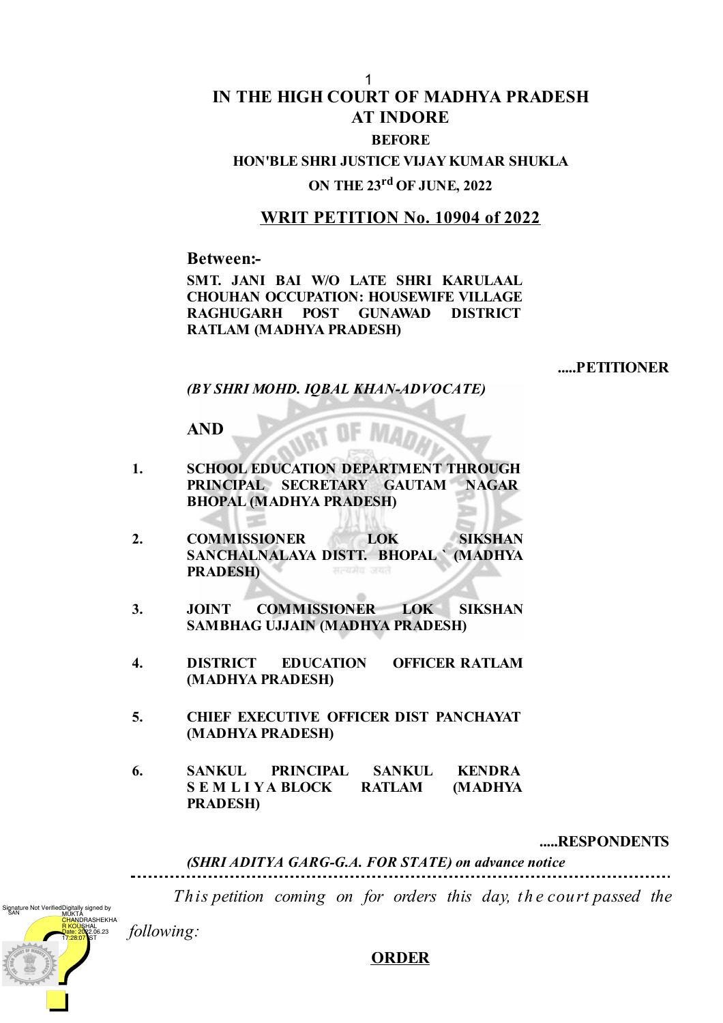## **IN THE HIGH COURT OF MADHYA PRADESH AT INDORE BEFORE** 1

# **HON'BLE SHRI JUSTICE VIJAY KUMAR SHUKLA ON THE 23 rd OF JUNE, 2022**

## **WRIT PETITION No. 10904 of 2022**

**Between:-**

**SMT. JANI BAI W/O LATE SHRI KARULAAL CHOUHAN OCCUPATION: HOUSEWIFE VILLAGE RAGHUGARH POST GUNAWAD DISTRICT RATLAM (MADHYA PRADESH)**

**.....PETITIONER**

*(BY SHRI MOHD. IQBAL KHAN-ADVOCATE)*

**AND**

- **1. SCHOOL EDUCATION DEPARTMENT THROUGH PRINCIPAL SECRETARY GAUTAM NAGAR BHOPAL (MADHYA PRADESH)**
- **2. COMMISSIONER LOK SIKSHAN SANCHALNALAYA DISTT. BHOPAL ` (MADHYA PRADESH)**
- **3. JOINT COMMISSIONER LOK SIKSHAN SAMBHAG UJJAIN (MADHYA PRADESH)**
- **4. DISTRICT EDUCATION OFFICER RATLAM (MADHYA PRADESH)**
- **5. CHIEF EXECUTIVE OFFICER DIST PANCHAYAT (MADHYA PRADESH)**
- **6. SANKUL PRINCIPAL SANKUL KENDRA S E M L I YA BLOCK RATLAM (MADHYA PRADESH)**

**.....RESPONDENTS**

*(SHRI ADITYA GARG-G.A. FOR STATE) on advance notice*

*This petition coming on for orders this day, th e court passed the*

*following:*

Digitally signed by<br>MUKTA<br><mark>CHAN</mark>DRASHEKHA <mark>R KOÙŞ</mark>HAL .<br>16.23

17:28:07 IST

gnature Not Verifie

#### **ORDER**